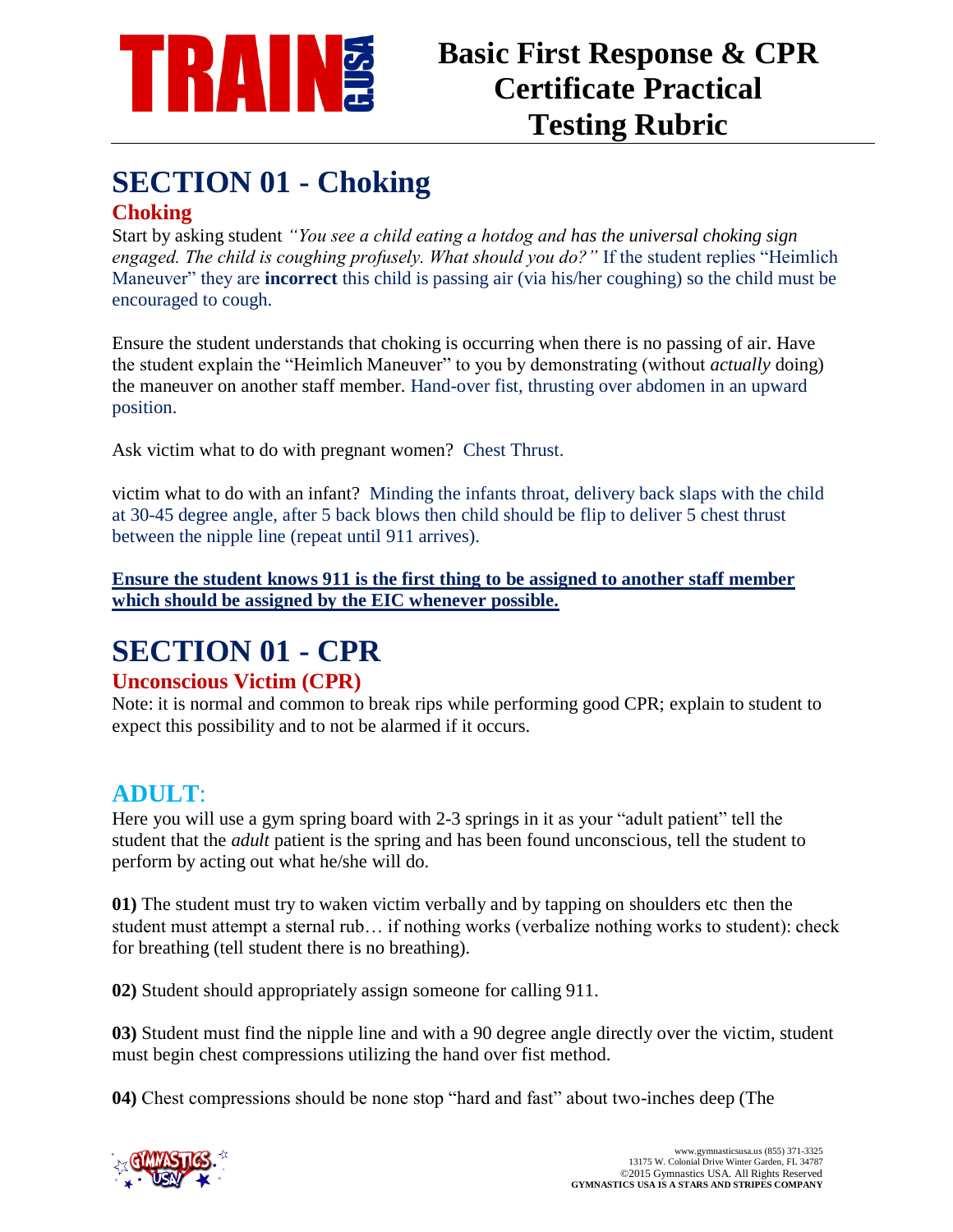

### **SECTION 01 - Choking Choking**

Start by asking student *"You see a child eating a hotdog and has the universal choking sign engaged. The child is coughing profusely. What should you do?"* If the student replies "Heimlich Maneuver" they are **incorrect** this child is passing air (via his/her coughing) so the child must be encouraged to cough.

Ensure the student understands that choking is occurring when there is no passing of air. Have the student explain the "Heimlich Maneuver" to you by demonstrating (without *actually* doing) the maneuver on another staff member. Hand-over fist, thrusting over abdomen in an upward position.

Ask victim what to do with pregnant women?Chest Thrust.

victim what to do with an infant?Minding the infants throat, delivery back slaps with the child at 30-45 degree angle, after 5 back blows then child should be flip to deliver 5 chest thrust between the nipple line (repeat until 911 arrives).

**Ensure the student knows 911 is the first thing to be assigned to another staff member which should be assigned by the EIC whenever possible.**

# **SECTION 01 - CPR**

#### **Unconscious Victim (CPR)**

Note: it is normal and common to break rips while performing good CPR; explain to student to expect this possibility and to not be alarmed if it occurs.

### **ADULT**:

Here you will use a gym spring board with 2-3 springs in it as your "adult patient" tell the student that the *adult* patient is the spring and has been found unconscious, tell the student to perform by acting out what he/she will do.

**01)** The student must try to waken victim verbally and by tapping on shoulders etc then the student must attempt a sternal rub… if nothing works (verbalize nothing works to student): check for breathing (tell student there is no breathing).

**02)** Student should appropriately assign someone for calling 911.

**03)** Student must find the nipple line and with a 90 degree angle directly over the victim, student must begin chest compressions utilizing the hand over fist method.

**04)** Chest compressions should be none stop "hard and fast" about two-inches deep (The

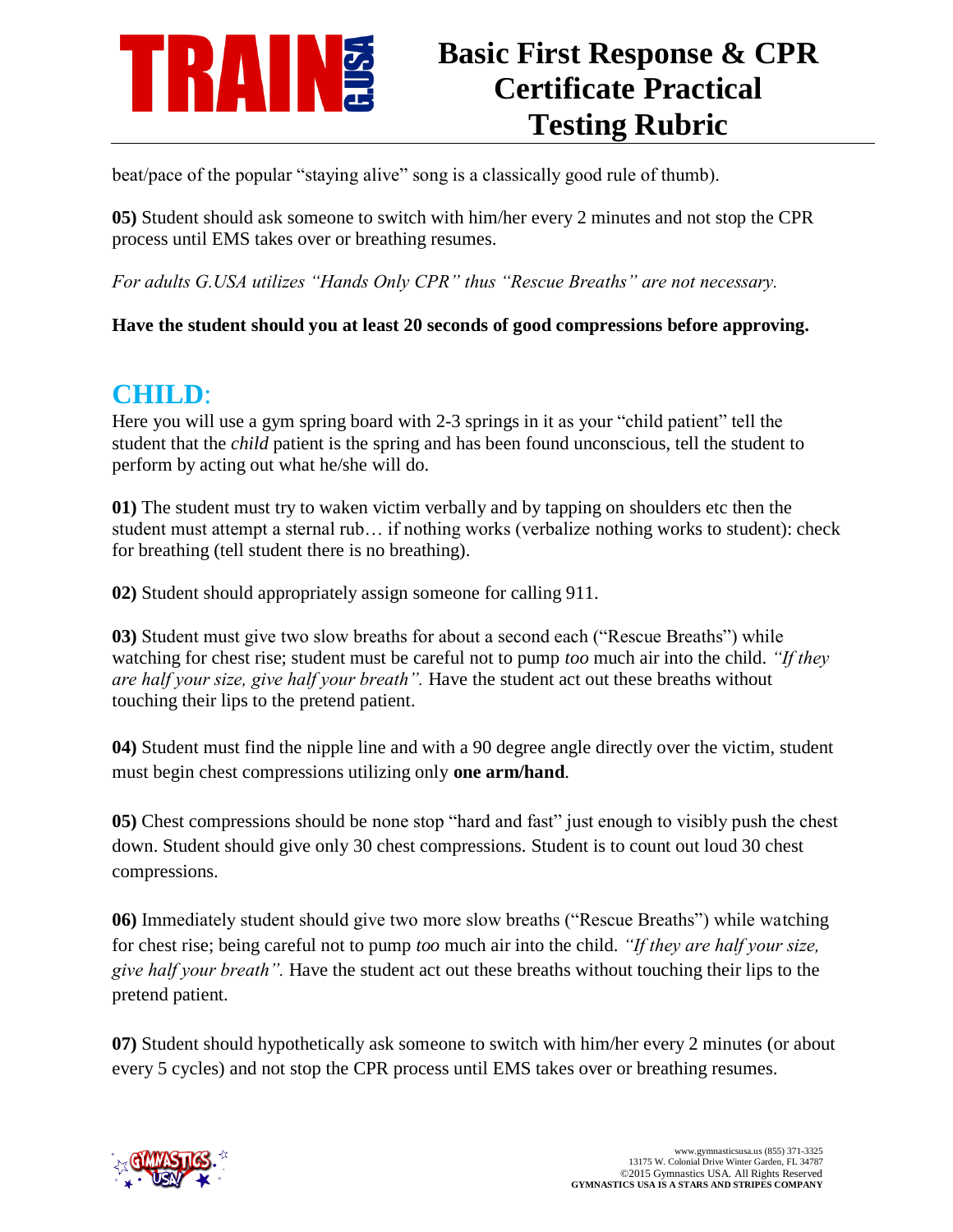

## **Basic First Response & CPR Certificate Practical Testing Rubric**

beat/pace of the popular "staying alive" song is a classically good rule of thumb).

**05)** Student should ask someone to switch with him/her every 2 minutes and not stop the CPR process until EMS takes over or breathing resumes.

*For adults G.USA utilizes "Hands Only CPR" thus "Rescue Breaths" are not necessary.* 

**Have the student should you at least 20 seconds of good compressions before approving.** 

## **CHILD**:

Here you will use a gym spring board with 2-3 springs in it as your "child patient" tell the student that the *child* patient is the spring and has been found unconscious, tell the student to perform by acting out what he/she will do.

**01)** The student must try to waken victim verbally and by tapping on shoulders etc then the student must attempt a sternal rub… if nothing works (verbalize nothing works to student): check for breathing (tell student there is no breathing).

**02)** Student should appropriately assign someone for calling 911.

**03**) Student must give two slow breaths for about a second each ("Rescue Breaths") while watching for chest rise; student must be careful not to pump *too* much air into the child. *"If they are half your size, give half your breath".* Have the student act out these breaths without touching their lips to the pretend patient.

**04)** Student must find the nipple line and with a 90 degree angle directly over the victim, student must begin chest compressions utilizing only **one arm/hand**.

**05)** Chest compressions should be none stop "hard and fast" just enough to visibly push the chest down. Student should give only 30 chest compressions. Student is to count out loud 30 chest compressions.

**06)** Immediately student should give two more slow breaths ("Rescue Breaths") while watching for chest rise; being careful not to pump *too* much air into the child. *"If they are half your size, give half your breath".* Have the student act out these breaths without touching their lips to the pretend patient.

**07)** Student should hypothetically ask someone to switch with him/her every 2 minutes (or about every 5 cycles) and not stop the CPR process until EMS takes over or breathing resumes.